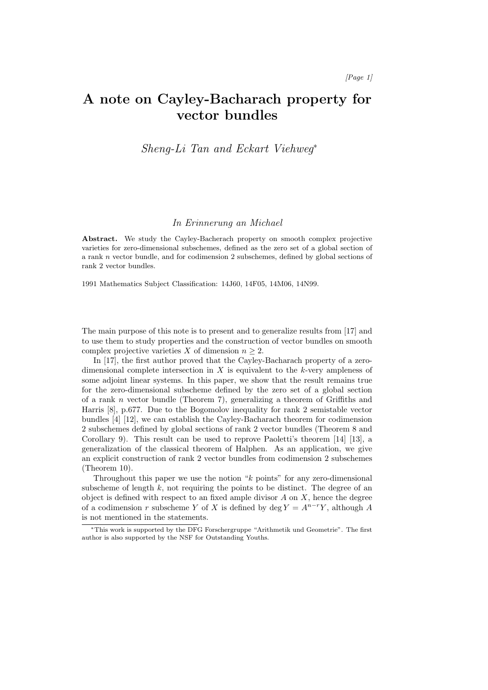# A note on Cayley-Bacharach property for vector bundles

Sheng-Li Tan and Eckart Viehweg<sup>∗</sup>

#### In Erinnerung an Michael

Abstract. We study the Cayley-Bacherach property on smooth complex projective varieties for zero-dimensional subschemes, defined as the zero set of a global section of a rank n vector bundle, and for codimension 2 subschemes, defined by global sections of rank 2 vector bundles.

1991 Mathematics Subject Classification: 14J60, 14F05, 14M06, 14N99.

The main purpose of this note is to present and to generalize results from [17] and to use them to study properties and the construction of vector bundles on smooth complex projective varieties X of dimension  $n \geq 2$ .

In [17], the first author proved that the Cayley-Bacharach property of a zerodimensional complete intersection in  $X$  is equivalent to the k-very ampleness of some adjoint linear systems. In this paper, we show that the result remains true for the zero-dimensional subscheme defined by the zero set of a global section of a rank n vector bundle (Theorem 7), generalizing a theorem of Griffiths and Harris [8], p.677. Due to the Bogomolov inequality for rank 2 semistable vector bundles [4] [12], we can establish the Cayley-Bacharach theorem for codimension 2 subschemes defined by global sections of rank 2 vector bundles (Theorem 8 and Corollary 9). This result can be used to reprove Paoletti's theorem [14] [13], a generalization of the classical theorem of Halphen. As an application, we give an explicit construction of rank 2 vector bundles from codimension 2 subschemes (Theorem 10).

Throughout this paper we use the notion "k points" for any zero-dimensional subscheme of length  $k$ , not requiring the points to be distinct. The degree of an object is defined with respect to an fixed ample divisor  $A$  on  $X$ , hence the degree of a codimension r subscheme Y of X is defined by deg  $Y = A^{n-r}Y$ , although A is not mentioned in the statements.

<sup>∗</sup>This work is supported by the DFG Forschergruppe "Arithmetik und Geometrie". The first author is also supported by the NSF for Outstanding Youths.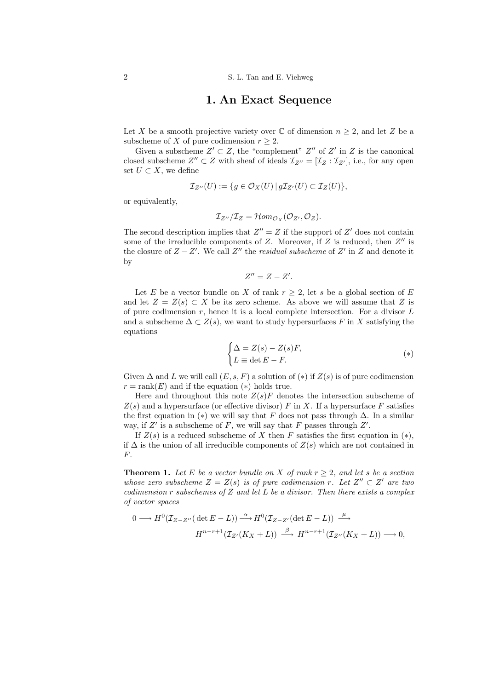### 1. An Exact Sequence

Let X be a smooth projective variety over  $\mathbb C$  of dimension  $n \geq 2$ , and let Z be a subscheme of X of pure codimension  $r \geq 2$ .

Given a subscheme  $Z' \subset Z$ , the "complement"  $Z''$  of  $Z'$  in  $Z$  is the canonical closed subscheme  $Z'' \subset Z$  with sheaf of ideals  $\mathcal{I}_{Z''} = [\mathcal{I}_Z : \mathcal{I}_{Z'}]$ , i.e., for any open set  $U \subset X$ , we define

$$
\mathcal{I}_{Z''}(U) := \{ g \in \mathcal{O}_X(U) \mid g\mathcal{I}_{Z'}(U) \subset \mathcal{I}_Z(U) \},\
$$

or equivalently,

$$
\mathcal{I}_{Z''}/\mathcal{I}_Z=\mathcal{H}om_{\mathcal{O}_X}(\mathcal{O}_{Z'},\mathcal{O}_Z).
$$

The second description implies that  $Z'' = Z$  if the support of  $Z'$  does not contain some of the irreducible components of  $Z$ . Moreover, if  $Z$  is reduced, then  $Z''$  is the closure of  $Z - Z'$ . We call  $Z''$  the *residual subscheme* of  $Z'$  in  $Z$  and denote it by

$$
Z''=Z-Z'.
$$

Let E be a vector bundle on X of rank  $r \geq 2$ , let s be a global section of E and let  $Z = Z(s) \subset X$  be its zero scheme. As above we will assume that Z is of pure codimension  $r$ , hence it is a local complete intersection. For a divisor  $L$ and a subscheme  $\Delta \subset Z(s)$ , we want to study hypersurfaces F in X satisfying the equations

$$
\begin{cases}\n\Delta = Z(s) - Z(s)F, \\
L \equiv \det E - F.\n\end{cases} (*)
$$

Given  $\Delta$  and L we will call  $(E, s, F)$  a solution of  $(*)$  if  $Z(s)$  is of pure codimension  $r = \text{rank}(E)$  and if the equation  $(*)$  holds true.

Here and throughout this note  $Z(s)F$  denotes the intersection subscheme of  $Z(s)$  and a hypersurface (or effective divisor) F in X. If a hypersurface F satisfies the first equation in (∗) we will say that F does not pass through  $\Delta$ . In a similar way, if  $Z'$  is a subscheme of F, we will say that F passes through  $Z'$ .

If  $Z(s)$  is a reduced subscheme of X then F satisfies the first equation in  $(*)$ , if  $\Delta$  is the union of all irreducible components of  $Z(s)$  which are not contained in F.

**Theorem 1.** Let E be a vector bundle on X of rank  $r > 2$ , and let s be a section whose zero subscheme  $Z = Z(s)$  is of pure codimension r. Let  $Z'' \subset Z'$  are two codimension r subschemes of Z and let L be a divisor. Then there exists a complex of vector spaces

$$
0 \longrightarrow H^{0}(\mathcal{I}_{Z-Z''}(\det E - L)) \stackrel{\alpha}{\longrightarrow} H^{0}(\mathcal{I}_{Z-Z'}(\det E - L)) \stackrel{\mu}{\longrightarrow}
$$

$$
H^{n-r+1}(\mathcal{I}_{Z'}(K_X + L)) \stackrel{\beta}{\longrightarrow} H^{n-r+1}(\mathcal{I}_{Z''}(K_X + L)) \longrightarrow 0,
$$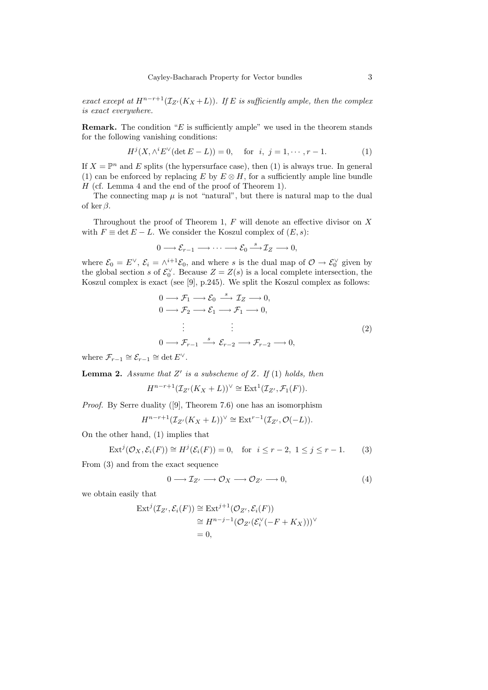exact except at  $H^{n-r+1}(\mathcal{I}_{Z}(K_X+L))$ . If E is sufficiently ample, then the complex is exact everywhere.

**Remark.** The condition " $E$  is sufficiently ample" we used in the theorem stands for the following vanishing conditions:

$$
H^{j}(X, \wedge^{i} E^{\vee}(\det E - L)) = 0, \text{ for } i, j = 1, \cdots, r - 1.
$$
 (1)

If  $X = \mathbb{P}^n$  and E splits (the hypersurface case), then (1) is always true. In general (1) can be enforced by replacing E by  $E \otimes H$ , for a sufficiently ample line bundle H (cf. Lemma 4 and the end of the proof of Theorem 1).

The connecting map  $\mu$  is not "natural", but there is natural map to the dual of ker  $\beta$ .

Throughout the proof of Theorem 1,  $F$  will denote an effective divisor on  $X$ with  $F \equiv \det E - L$ . We consider the Koszul complex of  $(E, s)$ :

$$
0 \longrightarrow \mathcal{E}_{r-1} \longrightarrow \cdots \longrightarrow \mathcal{E}_0 \stackrel{s}{\longrightarrow} \mathcal{I}_Z \longrightarrow 0,
$$

where  $\mathcal{E}_0 = E^{\vee}$ ,  $\mathcal{E}_i = \wedge^{i+1} \mathcal{E}_0$ , and where s is the dual map of  $\mathcal{O} \to \mathcal{E}_0^{\vee}$  given by the global section s of  $\mathcal{E}_0^{\vee}$ . Because  $Z = Z(s)$  is a local complete intersection, the Koszul complex is exact (see [9], p.245). We split the Koszul complex as follows:

$$
0 \longrightarrow \mathcal{F}_1 \longrightarrow \mathcal{E}_0 \stackrel{s}{\longrightarrow} \mathcal{I}_Z \longrightarrow 0,
$$
  
\n
$$
0 \longrightarrow \mathcal{F}_2 \longrightarrow \mathcal{E}_1 \longrightarrow \mathcal{F}_1 \longrightarrow 0,
$$
  
\n
$$
\vdots \qquad \vdots
$$
  
\n
$$
0 \longrightarrow \mathcal{F}_{r-1} \stackrel{s}{\longrightarrow} \mathcal{E}_{r-2} \longrightarrow \mathcal{F}_{r-2} \longrightarrow 0,
$$
  
\n
$$
\vdots \qquad (2)
$$

where  $\mathcal{F}_{r-1} \cong \mathcal{E}_{r-1} \cong \det E^{\vee}$ .

**Lemma 2.** Assume that  $Z'$  is a subscheme of Z. If (1) holds, then

$$
H^{n-r+1}(\mathcal{I}_{Z'}(K_X+L))^{\vee} \cong \text{Ext}^1(\mathcal{I}_{Z'}, \mathcal{F}_1(F)).
$$

Proof. By Serre duality ([9], Theorem 7.6) one has an isomorphism

$$
H^{n-r+1}(\mathcal{I}_{Z'}(K_X+L))^{\vee} \cong \text{Ext}^{r-1}(\mathcal{I}_{Z'}, \mathcal{O}(-L)).
$$

On the other hand, (1) implies that

$$
\operatorname{Ext}^j(\mathcal{O}_X, \mathcal{E}_i(F)) \cong H^j(\mathcal{E}_i(F)) = 0, \quad \text{for} \quad i \le r - 2, \ 1 \le j \le r - 1. \tag{3}
$$

From (3) and from the exact sequence

$$
0 \longrightarrow \mathcal{I}_{Z'} \longrightarrow \mathcal{O}_X \longrightarrow \mathcal{O}_{Z'} \longrightarrow 0,
$$
\n<sup>(4)</sup>

we obtain easily that

$$
\operatorname{Ext}^j(\mathcal{I}_{Z'}, \mathcal{E}_i(F)) \cong \operatorname{Ext}^{j+1}(\mathcal{O}_{Z'}, \mathcal{E}_i(F))
$$
  
\n
$$
\cong H^{n-j-1}(\mathcal{O}_{Z'}(\mathcal{E}_i^{\vee}(-F + K_X)))^{\vee}
$$
  
\n
$$
= 0,
$$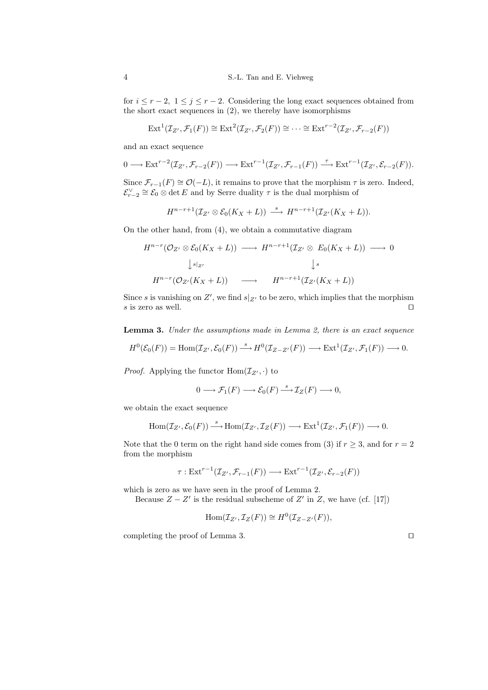for  $i \le r-2$ ,  $1 \le j \le r-2$ . Considering the long exact sequences obtained from the short exact sequences in (2), we thereby have isomorphisms

$$
\mathrm{Ext}^{1}(\mathcal{I}_{Z'}, \mathcal{F}_{1}(F)) \cong \mathrm{Ext}^{2}(\mathcal{I}_{Z'}, \mathcal{F}_{2}(F)) \cong \cdots \cong \mathrm{Ext}^{r-2}(\mathcal{I}_{Z'}, \mathcal{F}_{r-2}(F))
$$

and an exact sequence

$$
0 \longrightarrow \text{Ext}^{r-2}(\mathcal{I}_{Z'}, \mathcal{F}_{r-2}(F)) \longrightarrow \text{Ext}^{r-1}(\mathcal{I}_{Z'}, \mathcal{F}_{r-1}(F)) \stackrel{\tau}{\longrightarrow} \text{Ext}^{r-1}(\mathcal{I}_{Z'}, \mathcal{E}_{r-2}(F)).
$$

Since  $\mathcal{F}_{r-1}(F) \cong \mathcal{O}(-L)$ , it remains to prove that the morphism  $\tau$  is zero. Indeed,  $\mathcal{E}_{r-2}^{\vee} \cong \mathcal{E}_0 \otimes \det E$  and by Serre duality  $\tau$  is the dual morphism of

$$
H^{n-r+1}(\mathcal{I}_{Z'}\otimes \mathcal{E}_0(K_X+L))\stackrel{s}{\longrightarrow} H^{n-r+1}(\mathcal{I}_{Z'}(K_X+L)).
$$

On the other hand, from (4), we obtain a commutative diagram

$$
H^{n-r}(\mathcal{O}_{Z'} \otimes \mathcal{E}_0(K_X + L)) \longrightarrow H^{n-r+1}(\mathcal{I}_{Z'} \otimes E_0(K_X + L)) \longrightarrow 0
$$
  
\n
$$
\downarrow s|_{Z'}
$$
  
\n
$$
H^{n-r}(\mathcal{O}_{Z'}(K_X + L)) \longrightarrow H^{n-r+1}(\mathcal{I}_{Z'}(K_X + L))
$$

Since s is vanishing on Z', we find  $s|_{Z'}$  to be zero, which implies that the morphism s is zero as well.  $\Box$ 

Lemma 3. Under the assumptions made in Lemma 2, there is an exact sequence

$$
H^0(\mathcal{E}_0(F)) = \text{Hom}(\mathcal{I}_{Z'}, \mathcal{E}_0(F)) \xrightarrow{\ s \ } H^0(\mathcal{I}_{Z-Z'}(F)) \longrightarrow \text{Ext}^1(\mathcal{I}_{Z'}, \mathcal{F}_1(F)) \longrightarrow 0.
$$

*Proof.* Applying the functor  $\text{Hom}(\mathcal{I}_{Z'}, \cdot)$  to

$$
0 \longrightarrow \mathcal{F}_1(F) \longrightarrow \mathcal{E}_0(F) \stackrel{s}{\longrightarrow} \mathcal{I}_Z(F) \longrightarrow 0,
$$

we obtain the exact sequence

$$
\operatorname{Hom}(\mathcal{I}_{Z'}, \mathcal{E}_0(F)) \stackrel{s}{\longrightarrow} \operatorname{Hom}(\mathcal{I}_{Z'}, \mathcal{I}_Z(F)) \longrightarrow \operatorname{Ext}^1(\mathcal{I}_{Z'}, \mathcal{F}_1(F)) \longrightarrow 0.
$$

Note that the 0 term on the right hand side comes from (3) if  $r \geq 3$ , and for  $r = 2$ from the morphism

$$
\tau: \text{Ext}^{r-1}(\mathcal{I}_{Z'}, \mathcal{F}_{r-1}(F)) \longrightarrow \text{Ext}^{r-1}(\mathcal{I}_{Z'}, \mathcal{E}_{r-2}(F))
$$

which is zero as we have seen in the proof of Lemma 2.

Because  $Z - Z'$  is the residual subscheme of  $Z'$  in  $Z$ , we have (cf. [17])

$$
Hom(\mathcal{I}_{Z'}, \mathcal{I}_Z(F)) \cong H^0(\mathcal{I}_{Z-Z'}(F)),
$$

completing the proof of Lemma 3.  $\Box$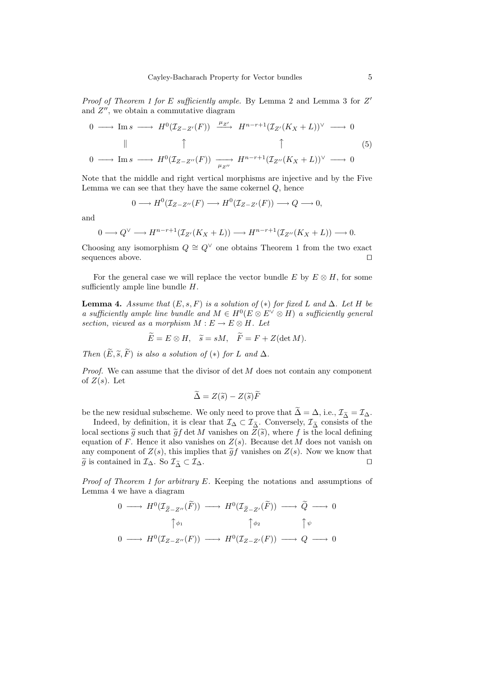Proof of Theorem 1 for E sufficiently ample. By Lemma 2 and Lemma 3 for  $Z'$ and  $Z''$ , we obtain a commutative diagram

$$
0 \longrightarrow \text{Im } s \longrightarrow H^0(\mathcal{I}_{Z-Z'}(F)) \xrightarrow{\mu_{Z'}} H^{n-r+1}(\mathcal{I}_{Z'}(K_X + L))^\vee \longrightarrow 0
$$
  

$$
\parallel \qquad \uparrow \qquad \qquad \uparrow \qquad (5)
$$
  

$$
0 \longrightarrow \text{Im } s \longrightarrow H^0(\mathcal{I}_{Z-Z''}(F)) \xrightarrow{\mu_{Z''}} H^{n-r+1}(\mathcal{I}_{Z''}(K_X + L))^\vee \longrightarrow 0
$$

Note that the middle and right vertical morphisms are injective and by the Five Lemma we can see that they have the same cokernel  $Q$ , hence

$$
0 \longrightarrow H^0(\mathcal{I}_{Z-Z''}(F) \longrightarrow H^0(\mathcal{I}_{Z-Z'}(F)) \longrightarrow Q \longrightarrow 0,
$$

and

$$
0 \longrightarrow Q^{\vee} \longrightarrow H^{n-r+1}(\mathcal{I}_{Z'}(K_X+L)) \longrightarrow H^{n-r+1}(\mathcal{I}_{Z''}(K_X+L)) \longrightarrow 0.
$$

Choosing any isomorphism  $Q \cong Q^{\vee}$  one obtains Theorem 1 from the two exact sequences above.  $\Box$ 

For the general case we will replace the vector bundle E by  $E \otimes H$ , for some sufficiently ample line bundle  $H$ .

**Lemma 4.** Assume that  $(E, s, F)$  is a solution of  $(*)$  for fixed L and  $\Delta$ . Let H be a sufficiently ample line bundle and  $M \in H^0(E \otimes E^{\vee} \otimes H)$  a sufficiently general section, viewed as a morphism  $M : E \to E \otimes H$ . Let

$$
E = E \otimes H, \quad \tilde{s} = sM, \quad F = F + Z(\det M).
$$

Then  $(\widetilde{E}, \widetilde{s}, \widetilde{F})$  is also a solution of  $(*)$  for L and  $\Delta$ .

*Proof.* We can assume that the divisor of  $\det M$  does not contain any component of  $Z(s)$ . Let

$$
\widetilde{\Delta} = Z(\widetilde{s}) - Z(\widetilde{s})\widetilde{F}
$$

be the new residual subscheme. We only need to prove that  $\widetilde{\Delta} = \Delta$ , i.e.,  $\mathcal{I}_{\widetilde{\Delta}} = \mathcal{I}_{\Delta}$ .

Indeed, by definition, it is clear that  $\mathcal{I}_{\Delta} \subset \mathcal{I}_{\tilde{\Delta}}$ . Conversely,  $\mathcal{I}_{\tilde{\Delta}}$  consists of the local sections  $\tilde{g}$  such that  $\tilde{g}f$  det M vanishes on  $Z(\tilde{s})$ , where f is the local defining<br>countion of F. Honge it also vanishes on  $Z(s)$ . Because det M does not vanish on equation of F. Hence it also vanishes on  $Z(s)$ . Because det M does not vanish on any component of  $Z(s)$ , this implies that  $\tilde{g}f$  vanishes on  $Z(s)$ . Now we know that  $\tilde{q}$  is contained in  $\mathcal{I}_{\Lambda}$ . So  $\mathcal{I}_{\tilde{\Lambda}} \subset \mathcal{I}_{\Lambda}$ .  $\widetilde{g}$  is contained in  $\mathcal{I}_{\Delta}$ . So  $\mathcal{I}_{\widetilde{\Delta}} \subset \mathcal{I}_{\Delta}$ .

Proof of Theorem 1 for arbitrary E. Keeping the notations and assumptions of Lemma 4 we have a diagram

$$
0 \longrightarrow H^{0}(\mathcal{I}_{\widetilde{Z}-Z''}(\widetilde{F})) \longrightarrow H^{0}(\mathcal{I}_{\widetilde{Z}-Z'}(\widetilde{F})) \longrightarrow \widetilde{Q} \longrightarrow 0
$$
  

$$
\uparrow \phi_{1} \qquad \uparrow \phi_{2} \qquad \uparrow \psi
$$
  

$$
0 \longrightarrow H^{0}(\mathcal{I}_{Z-Z''}(F)) \longrightarrow H^{0}(\mathcal{I}_{Z-Z'}(F)) \longrightarrow Q \longrightarrow 0
$$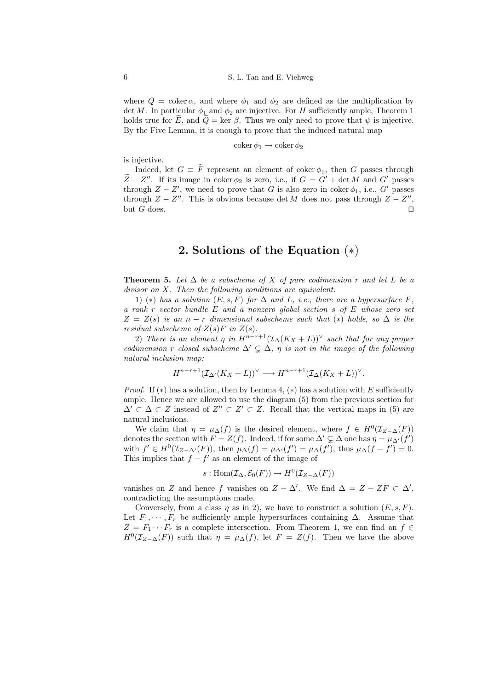where  $Q = \text{coker}\,\alpha$ , and where  $\phi_1$  and  $\phi_2$  are defined as the multiplication by det M. In particular  $\phi_1$  and  $\phi_2$  are injective. For H sufficiently ample, Theorem 1 holds true for  $\widetilde{E}$ , and  $\widetilde{Q} = \text{ker } \beta$ . Thus we only need to prove that  $\psi$  is injective. By the Five Lemma, it is enough to prove that the induced natural map

$$
\operatorname{coker} \phi_1 \to \operatorname{coker} \phi_2
$$

is injective.

Indeed, let  $G \equiv \tilde{F}$  represent an element of coker  $\phi_1$ , then G passes through  $\widetilde{Z}-Z''$ . If its image in coker  $\phi_2$  is zero, i.e., if  $G = G' + \det M$  and  $G'$  passes through  $Z - Z'$ , we need to prove that G is also zero in coker  $\phi_1$ , i.e., G' passes through  $Z - Z''$ . This is obvious because det M does not pass through  $Z - Z''$ , but G does.  $\Box$ 

## 2. Solutions of the Equation (∗)

**Theorem 5.** Let  $\Delta$  be a subscheme of X of pure codimension r and let L be a divisor on X. Then the following conditions are equivalent.

1) (\*) has a solution  $(E, s, F)$  for  $\Delta$  and  $L$ , i.e., there are a hypersurface F, a rank r vector bundle E and a nonzero global section s of E whose zero set  $Z = Z(s)$  is an n − r dimensional subscheme such that (\*) holds, so  $\Delta$  is the residual subscheme of  $Z(s)F$  in  $Z(s)$ .

2) There is an element  $\eta$  in  $H^{n-r+1}(\mathcal{I}_{\Delta}(K_X+L))^{\vee}$  such that for any proper codimension r closed subscheme  $\Delta' \subsetneq \Delta$ ,  $\eta$  is not in the image of the following natural inclusion map:

$$
H^{n-r+1}(\mathcal{I}_{\Delta'}(K_X+L))^{\vee} \longrightarrow H^{n-r+1}(\mathcal{I}_{\Delta}(K_X+L))^{\vee}.
$$

*Proof.* If  $(*)$  has a solution, then by Lemma 4,  $(*)$  has a solution with E sufficiently ample. Hence we are allowed to use the diagram (5) from the previous section for  $\Delta' \subset \Delta \subset Z$  instead of  $Z'' \subset Z' \subset Z$ . Recall that the vertical maps in (5) are natural inclusions.

We claim that  $\eta = \mu_{\Delta}(f)$  is the desired element, where  $f \in H^0(\mathcal{I}_{Z-\Delta}(F))$ denotes the section with  $F = Z(f)$ . Indeed, if for some  $\Delta' \subsetneq \Delta$  one has  $\eta = \mu_{\Delta'}(f')$ with  $f' \in H^0(\mathcal{I}_{Z-\Delta'}(F))$ , then  $\mu_{\Delta}(f) = \mu_{\Delta'}(f') = \mu_{\Delta}(f')$ , thus  $\mu_{\Delta}(f - f') = 0$ . This implies that  $f - f'$  as an element of the image of

$$
s: \text{Hom}(\mathcal{I}_{\Delta}, \mathcal{E}_0(F)) \to H^0(\mathcal{I}_{Z-\Delta}(F))
$$

vanishes on Z and hence f vanishes on  $Z - \Delta'$ . We find  $\Delta = Z - ZF \subset \Delta'$ , contradicting the assumptions made.

Conversely, from a class  $\eta$  as in 2), we have to construct a solution  $(E, s, F)$ . Let  $F_1, \dots, F_r$  be sufficiently ample hypersurfaces containing  $\Delta$ . Assume that  $Z = F_1 \cdots F_r$  is a complete intersection. From Theorem 1, we can find an  $f \in$  $H^0(\mathcal{I}_{Z-\Delta}(F))$  such that  $\eta = \mu_{\Delta}(f)$ , let  $F = Z(f)$ . Then we have the above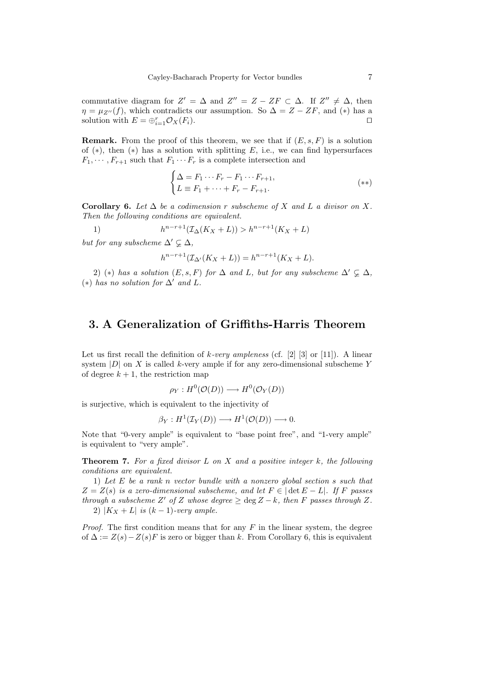commutative diagram for  $Z' = \Delta$  and  $Z'' = Z - ZF \subset \Delta$ . If  $Z'' \neq \Delta$ , then  $\eta = \mu_{Z''}(f)$ , which contradicts our assumption. So  $\Delta = Z - ZF$ , and (\*) has a solution with  $E = \bigoplus_{i=1}^r \mathcal{O}_X(F_i)$ .

**Remark.** From the proof of this theorem, we see that if  $(E, s, F)$  is a solution of (\*), then (\*) has a solution with splitting  $E$ , i.e., we can find hypersurfaces  $F_1, \dots, F_{r+1}$  such that  $F_1 \dots F_r$  is a complete intersection and

$$
\begin{cases} \Delta = F_1 \cdots F_r - F_1 \cdots F_{r+1}, \\ L \equiv F_1 + \cdots + F_r - F_{r+1}. \end{cases} (*)
$$

Corollary 6. Let  $\Delta$  be a codimension r subscheme of X and L a divisor on X. Then the following conditions are equivalent.

 $1)$  $h^{n-r+1}(\mathcal{I}_{\Delta}(K_X+L)) > h^{n-r+1}(K_X+L)$ 

but for any subscheme  $\Delta' \subsetneq \Delta$ ,

$$
h^{n-r+1}(\mathcal{I}_{\Delta'}(K_X + L)) = h^{n-r+1}(K_X + L).
$$

2) (\*) has a solution  $(E, s, F)$  for  $\Delta$  and L, but for any subscheme  $\Delta' \subsetneq \Delta$ , (\*) has no solution for  $\Delta'$  and L.

### 3. A Generalization of Griffiths-Harris Theorem

Let us first recall the definition of  $k$ -very ampleness (cf. [2] [3] or [11]). A linear system  $|D|$  on X is called k-very ample if for any zero-dimensional subscheme Y of degree  $k + 1$ , the restriction map

$$
\rho_Y: H^0(\mathcal{O}(D)) \longrightarrow H^0(\mathcal{O}_Y(D))
$$

is surjective, which is equivalent to the injectivity of

$$
\beta_Y: H^1(\mathcal{I}_Y(D)) \longrightarrow H^1(\mathcal{O}(D)) \longrightarrow 0.
$$

Note that "0-very ample" is equivalent to "base point free", and "1-very ample" is equivalent to "very ample".

**Theorem 7.** For a fixed divisor  $L$  on  $X$  and a positive integer  $k$ , the following conditions are equivalent.

1) Let E be a rank n vector bundle with a nonzero global section s such that  $Z = Z(s)$  is a zero-dimensional subscheme, and let  $F \in |\det E - L|$ . If F passes through a subscheme Z' of Z whose degree  $\geq$  deg Z – k, then F passes through Z. 2)  $|K_X + L|$  is  $(k-1)$ -very ample.

*Proof.* The first condition means that for any  $F$  in the linear system, the degree of  $\Delta := Z(s) - Z(s)F$  is zero or bigger than k. From Corollary 6, this is equivalent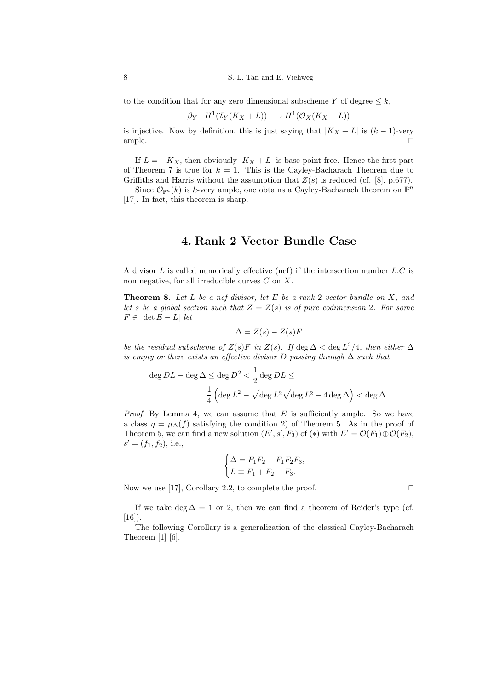to the condition that for any zero dimensional subscheme Y of degree  $\leq k$ ,

$$
\beta_Y: H^1(\mathcal{I}_Y(K_X + L)) \longrightarrow H^1(\mathcal{O}_X(K_X + L))
$$

is injective. Now by definition, this is just saying that  $|K_X + L|$  is  $(k-1)$ -very ample.  $\square$ 

If  $L = -K_X$ , then obviously  $|K_X + L|$  is base point free. Hence the first part of Theorem 7 is true for  $k = 1$ . This is the Cayley-Bacharach Theorem due to Griffiths and Harris without the assumption that  $Z(s)$  is reduced (cf. [8], p.677).

Since  $\mathcal{O}_{\mathbb{P}^n}(k)$  is k-very ample, one obtains a Cayley-Bacharach theorem on  $\mathbb{P}^n$ [17]. In fact, this theorem is sharp.

### 4. Rank 2 Vector Bundle Case

A divisor  $L$  is called numerically effective (nef) if the intersection number  $L.C$  is non negative, for all irreducible curves  $C$  on  $X$ .

**Theorem 8.** Let  $L$  be a nef divisor, let  $E$  be a rank 2 vector bundle on  $X$ , and let s be a global section such that  $Z = Z(s)$  is of pure codimension 2. For some  $F \in |\det E - L|$  let

$$
\Delta = Z(s) - Z(s)F
$$

be the residual subscheme of  $Z(s)F$  in  $Z(s)$ . If  $\deg \Delta < \deg L^2/4$ , then either  $\Delta$ is empty or there exists an effective divisor D passing through  $\Delta$  such that

$$
\begin{aligned} \deg DL - \deg \Delta &\le \deg D^2 < \frac{1}{2} \deg DL \le \\ &\frac{1}{4} \left( \deg L^2 - \sqrt{\deg L^2} \sqrt{\deg L^2 - 4 \deg \Delta} \right) < \deg \Delta. \end{aligned}
$$

*Proof.* By Lemma 4, we can assume that  $E$  is sufficiently ample. So we have a class  $\eta = \mu_{\Delta}(f)$  satisfying the condition 2) of Theorem 5. As in the proof of Theorem 5, we can find a new solution  $(E', s', F_3)$  of  $(*)$  with  $E' = \mathcal{O}(F_1) \oplus \mathcal{O}(F_2)$ ,  $s' = (f_1, f_2),$  i.e.,

$$
\begin{cases}\n\Delta = F_1 F_2 - F_1 F_2 F_3, \\
L \equiv F_1 + F_2 - F_3.\n\end{cases}
$$

Now we use [17], Corollary 2.2, to complete the proof.  $\square$ 

If we take deg  $\Delta = 1$  or 2, then we can find a theorem of Reider's type (cf.  $[16]$ ).

The following Corollary is a generalization of the classical Cayley-Bacharach Theorem  $[1]$   $[6]$ .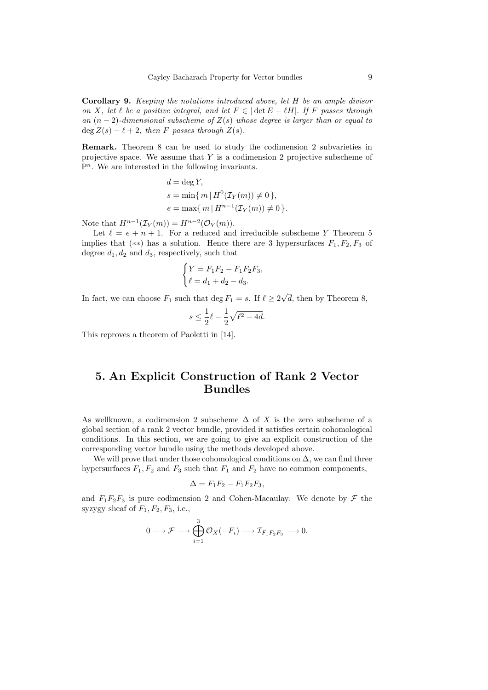Corollary 9. Keeping the notations introduced above, let H be an ample divisor on X, let  $\ell$  be a positive integral, and let  $F \in |\det E - \ell H|$ . If F passes through an  $(n-2)$ -dimensional subscheme of  $Z(s)$  whose degree is larger than or equal to  $\deg Z(s) - \ell + 2$ , then F passes through  $Z(s)$ .

Remark. Theorem 8 can be used to study the codimension 2 subvarieties in projective space. We assume that  $Y$  is a codimension 2 projective subscheme of  $\mathbb{P}^n$ . We are interested in the following invariants.

$$
d = \deg Y,
$$
  
\n
$$
s = \min\{m \mid H^0(\mathcal{I}_Y(m)) \neq 0\},
$$
  
\n
$$
e = \max\{m \mid H^{n-1}(\mathcal{I}_Y(m)) \neq 0\}.
$$

Note that  $H^{n-1}(\mathcal{I}_Y(m)) = H^{n-2}(\mathcal{O}_Y(m)).$ 

Let  $\ell = e + n + 1$ . For a reduced and irreducible subscheme Y Theorem 5 implies that (\*\*) has a solution. Hence there are 3 hypersurfaces  $F_1, F_2, F_3$  of degree  $d_1, d_2$  and  $d_3$ , respectively, such that

$$
\begin{cases}\nY = F_1 F_2 - F_1 F_2 F_3, \\
\ell = d_1 + d_2 - d_3.\n\end{cases}
$$

In fact, we can choose  $F_1$  such that  $\deg F_1 = s$ . If  $\ell \geq 2$ √ d, then by Theorem 8,

$$
s\leq \frac{1}{2}\ell-\frac{1}{2}\sqrt{\ell^2-4d}.
$$

This reproves a theorem of Paoletti in [14].

## 5. An Explicit Construction of Rank 2 Vector Bundles

As wellknown, a codimension 2 subscheme  $\Delta$  of X is the zero subscheme of a global section of a rank 2 vector bundle, provided it satisfies certain cohomological conditions. In this section, we are going to give an explicit construction of the corresponding vector bundle using the methods developed above.

We will prove that under those cohomological conditions on  $\Delta$ , we can find three hypersurfaces  $F_1, F_2$  and  $F_3$  such that  $F_1$  and  $F_2$  have no common components,

$$
\Delta = F_1 F_2 - F_1 F_2 F_3,
$$

and  $F_1F_2F_3$  is pure codimension 2 and Cohen-Macaulay. We denote by  $\mathcal F$  the syzygy sheaf of  $F_1, F_2, F_3$ , i.e.,

$$
0 \longrightarrow \mathcal{F} \longrightarrow \bigoplus_{i=1}^3 \mathcal{O}_X(-F_i) \longrightarrow \mathcal{I}_{F_1F_2F_3} \longrightarrow 0.
$$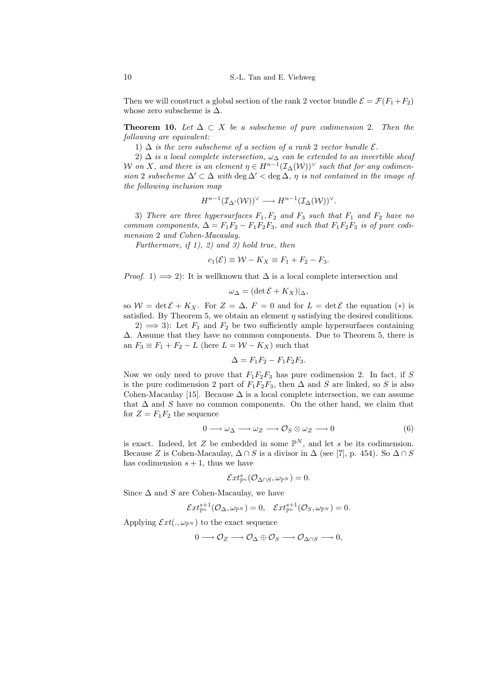Then we will construct a global section of the rank 2 vector bundle  $\mathcal{E} = \mathcal{F}(F_1 + F_2)$ whose zero subscheme is  $\Delta$ .

**Theorem 10.** Let  $\Delta \subset X$  be a subscheme of pure codimension 2. Then the following are equivalent:

1)  $\Delta$  is the zero subscheme of a section of a rank 2 vector bundle  $\mathcal{E}$ .

2)  $\Delta$  is a local complete intersection,  $\omega_{\Delta}$  can be extended to an invertible sheaf W on X, and there is an element  $\eta \in H^{n-1}(\mathcal{I}_{\Delta}(\mathcal{W}))^{\vee}$  such that for any codimension 2 subscheme  $\Delta' \subset \Delta$  with deg  $\Delta' <$  deg  $\Delta$ ,  $\eta$  is not contained in the image of the following inclusion map

$$
H^{n-1}(\mathcal{I}_{\Delta}(\mathcal{W}))^{\vee} \longrightarrow H^{n-1}(\mathcal{I}_{\Delta}(\mathcal{W}))^{\vee}.
$$

3) There are three hypersurfaces  $F_1, F_2$  and  $F_3$  such that  $F_1$  and  $F_2$  have no common components,  $\Delta = F_1F_2 - F_1F_2F_3$ , and such that  $F_1F_2F_3$  is of pure codimension 2 and Cohen-Macaulay.

Furthermore, if  $1$ ,  $2$ ) and  $3$ ) hold true, then

$$
c_1(\mathcal{E}) \equiv \mathcal{W} - K_X \equiv F_1 + F_2 - F_3.
$$

*Proof.* 1)  $\implies$  2): It is wellknown that  $\Delta$  is a local complete intersection and

$$
\omega_{\Delta} = (\det \mathcal{E} + K_X)|_{\Delta},
$$

so  $W = \det \mathcal{E} + K_X$ . For  $Z = \Delta$ ,  $F = 0$  and for  $L = \det \mathcal{E}$  the equation  $(*)$  is satisfied. By Theorem 5, we obtain an element  $\eta$  satisfying the desired conditions.

2)  $\implies$  3): Let  $F_1$  and  $F_2$  be two sufficiently ample hypersurfaces containing ∆. Assume that they have no common components. Due to Theorem 5, there is an  $F_3 \equiv F_1 + F_2 - L$  (here  $L = W - K_X$ ) such that

$$
\Delta = F_1 F_2 - F_1 F_2 F_3.
$$

Now we only need to prove that  $F_1F_2F_3$  has pure codimension 2. In fact, if S is the pure codimension 2 part of  $F_1F_2F_3$ , then  $\Delta$  and S are linked, so S is also Cohen-Macaulay [15]. Because  $\Delta$  is a local complete intersection, we can assume that  $\Delta$  and S have no common components. On the other hand, we claim that for  $Z = F_1F_2$  the sequence

$$
0 \longrightarrow \omega_{\Delta} \longrightarrow \omega_{Z} \longrightarrow \mathcal{O}_{S} \otimes \omega_{Z} \longrightarrow 0 \tag{6}
$$

is exact. Indeed, let Z be embedded in some  $\mathbb{P}^N$ , and let s be its codimension. Because Z is Cohen-Macaulay,  $\Delta \cap S$  is a divisor in  $\Delta$  (see [7], p. 454). So  $\Delta \cap S$ has codimension  $s + 1$ , thus we have

$$
\mathcal{E}xt_{\mathbb{P}^n}^s(\mathcal{O}_{\Delta\cap S},\omega_{\mathbb{P}^N})=0.
$$

Since  $\Delta$  and S are Cohen-Macaulay, we have

$$
\mathcal{E}xt^{s+1}_{\mathbb{P}^n}({\mathcal O}_\Delta,\omega_{\mathbb{P}^N})=0,\quad \mathcal{E}xt^{s+1}_{\mathbb{P}^n}({\mathcal O}_S,\omega_{\mathbb{P}^N})=0.
$$

Applying  $\mathcal{E}xt(.,\omega_{\mathbb{P}^N})$  to the exact sequence

$$
0 \longrightarrow \mathcal{O}_Z \longrightarrow \mathcal{O}_{\Delta} \oplus \mathcal{O}_S \longrightarrow \mathcal{O}_{\Delta \cap S} \longrightarrow 0,
$$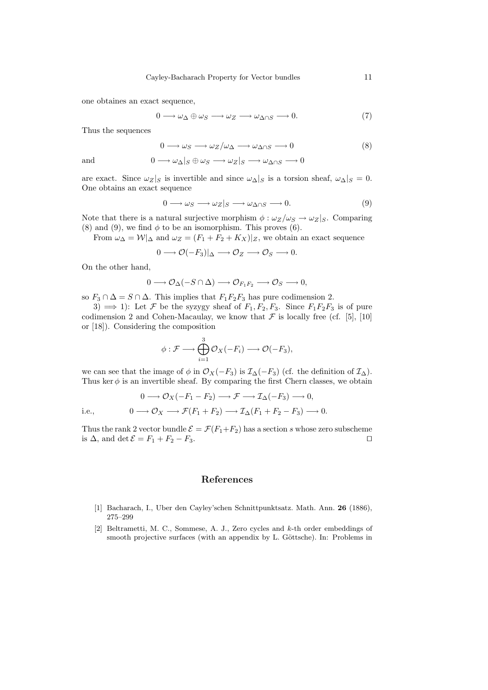one obtaines an exact sequence,

$$
0 \longrightarrow \omega_{\Delta} \oplus \omega_{S} \longrightarrow \omega_{Z} \longrightarrow \omega_{\Delta \cap S} \longrightarrow 0. \tag{7}
$$

Thus the sequences

$$
0 \longrightarrow \omega_S \longrightarrow \omega_Z/\omega_\Delta \longrightarrow \omega_{\Delta \cap S} \longrightarrow 0 \tag{8}
$$

and  $0 \longrightarrow \omega_{\Delta}|_S \oplus \omega_S \longrightarrow \omega_Z|_S \longrightarrow \omega_{\Delta \cap S} \longrightarrow 0$ 

are exact. Since  $\omega_Z|_S$  is invertible and since  $\omega_{\Delta}|_S$  is a torsion sheaf,  $\omega_{\Delta}|_S = 0$ . One obtains an exact sequence

$$
0 \longrightarrow \omega_S \longrightarrow \omega_Z|_S \longrightarrow \omega_{\Delta \cap S} \longrightarrow 0. \tag{9}
$$

Note that there is a natural surjective morphism  $\phi : \omega_Z/\omega_S \to \omega_Z|_S$ . Comparing (8) and (9), we find  $\phi$  to be an isomorphism. This proves (6).

From  $\omega_{\Delta} = \mathcal{W}|_{\Delta}$  and  $\omega_Z = (F_1 + F_2 + K_X)|_Z$ , we obtain an exact sequence

$$
0 \longrightarrow \mathcal{O}(-F_3)|_{\Delta} \longrightarrow \mathcal{O}_Z \longrightarrow \mathcal{O}_S \longrightarrow 0.
$$

On the other hand,

$$
0 \longrightarrow \mathcal{O}_{\Delta}(-S \cap \Delta) \longrightarrow \mathcal{O}_{F_1F_2} \longrightarrow \mathcal{O}_S \longrightarrow 0,
$$

so  $F_3 \cap \Delta = S \cap \Delta$ . This implies that  $F_1F_2F_3$  has pure codimension 2.

3)  $\implies$  1): Let F be the syzygy sheaf of  $F_1, F_2, F_3$ . Since  $F_1F_2F_3$  is of pure codimension 2 and Cohen-Macaulay, we know that  $\mathcal F$  is locally free (cf. [5], [10] or [18]). Considering the composition

$$
\phi: \mathcal{F} \longrightarrow \bigoplus_{i=1}^3 \mathcal{O}_X(-F_i) \longrightarrow \mathcal{O}(-F_3),
$$

we can see that the image of  $\phi$  in  $\mathcal{O}_X(-F_3)$  is  $\mathcal{I}_{\Delta}(-F_3)$  (cf. the definition of  $\mathcal{I}_{\Delta}$ ). Thus ker  $\phi$  is an invertible sheaf. By comparing the first Chern classes, we obtain

$$
0 \longrightarrow \mathcal{O}_X(-F_1 - F_2) \longrightarrow \mathcal{F} \longrightarrow \mathcal{I}_{\Delta}(-F_3) \longrightarrow 0,
$$
  
i.e., 
$$
0 \longrightarrow \mathcal{O}_X \longrightarrow \mathcal{F}(F_1 + F_2) \longrightarrow \mathcal{I}_{\Delta}(F_1 + F_2 - F_3) \longrightarrow 0.
$$

Thus the rank 2 vector bundle  $\mathcal{E} = \mathcal{F}(F_1 + F_2)$  has a section s whose zero subscheme is  $\Delta$ , and det  $\mathcal{E} = F_1 + F_2 - F_3$ .

#### References

- [1] Bacharach, I., Uber den Cayley'schen Schnittpunktsatz. Math. Ann. 26 (1886), 275–299
- [2] Beltrametti, M. C., Sommese, A. J., Zero cycles and k-th order embeddings of smooth projective surfaces (with an appendix by L. Göttsche). In: Problems in